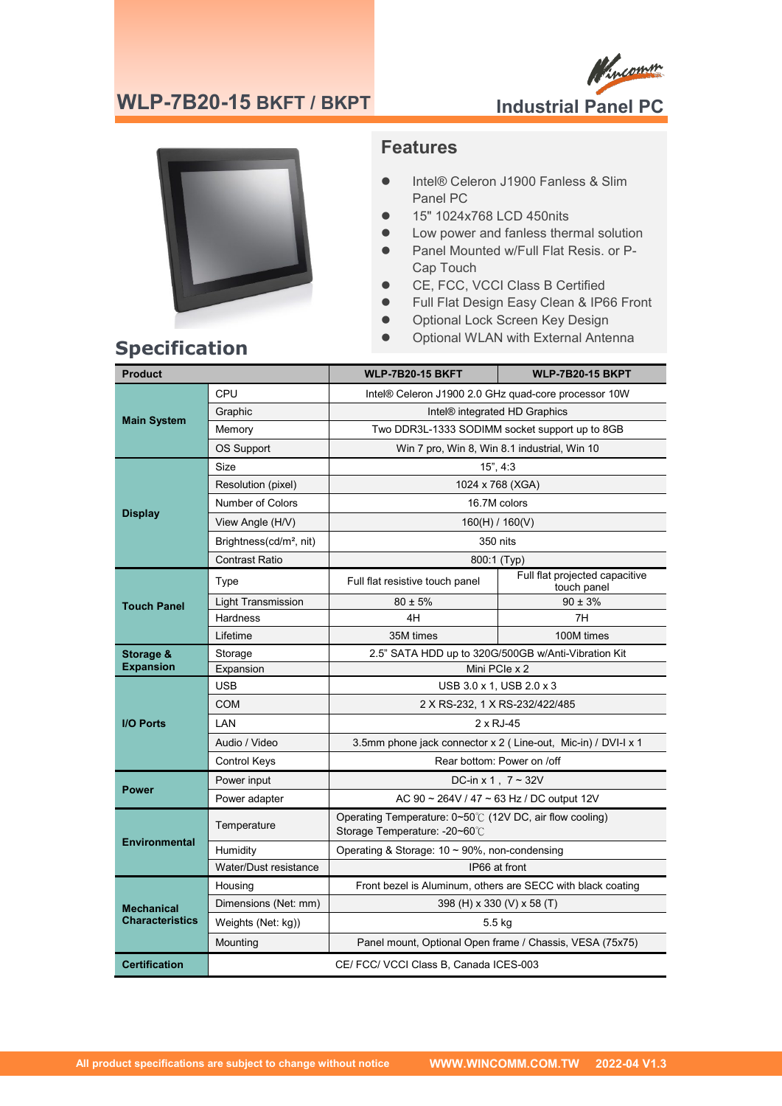### **WLP-7B20-15 BKFT / BKPT**





### **Features**

- Intel® Celeron J1900 Fanless & Slim Panel PC
- 15" 1024x768 LCD 450nits
- Low power and fanless thermal solution
- Panel Mounted w/Full Flat Resis. or P-Cap Touch
- CE, FCC, VCCI Class B Certified
- Full Flat Design Easy Clean & IP66 Front
- **•** Optional Lock Screen Key Design
- **Specification**<br>**City Antenna Contract Optional WLAN with External Antenna Specification**

| <b>Product</b>                              |                                        | <b>WLP-7B20-15 BKFT</b>                                                                   | <b>WLP-7B20-15 BKPT</b>                       |
|---------------------------------------------|----------------------------------------|-------------------------------------------------------------------------------------------|-----------------------------------------------|
| <b>Main System</b>                          | CPU                                    | Intel® Celeron J1900 2.0 GHz quad-core processor 10W                                      |                                               |
|                                             | Graphic                                | Intel® integrated HD Graphics                                                             |                                               |
|                                             | Memory                                 | Two DDR3L-1333 SODIMM socket support up to 8GB                                            |                                               |
|                                             | OS Support                             | Win 7 pro, Win 8, Win 8.1 industrial, Win 10                                              |                                               |
| <b>Display</b>                              | Size                                   | 15", 4:3                                                                                  |                                               |
|                                             | Resolution (pixel)                     | 1024 x 768 (XGA)                                                                          |                                               |
|                                             | Number of Colors                       | 16.7M colors                                                                              |                                               |
|                                             | View Angle (H/V)                       | 160(H) / 160(V)                                                                           |                                               |
|                                             | Brightness(cd/m <sup>2</sup> , nit)    | 350 nits                                                                                  |                                               |
|                                             | <b>Contrast Ratio</b>                  | 800:1 (Typ)                                                                               |                                               |
|                                             | Type                                   | Full flat resistive touch panel                                                           | Full flat projected capacitive<br>touch panel |
| <b>Touch Panel</b>                          | <b>Light Transmission</b>              | $80 \pm 5\%$                                                                              | $90 \pm 3\%$                                  |
|                                             | <b>Hardness</b>                        | 4H                                                                                        | 7H                                            |
|                                             | Lifetime                               | 35M times                                                                                 | 100M times                                    |
| Storage &                                   | Storage                                | 2.5" SATA HDD up to 320G/500GB w/Anti-Vibration Kit                                       |                                               |
| <b>Expansion</b>                            | Expansion                              | Mini PCIe x 2                                                                             |                                               |
|                                             | USB.                                   | USB 3.0 x 1, USB 2.0 x 3                                                                  |                                               |
|                                             | <b>COM</b>                             | 2 X RS-232, 1 X RS-232/422/485                                                            |                                               |
| <b>I/O Ports</b>                            | LAN                                    | $2 \times RJ-45$                                                                          |                                               |
|                                             | Audio / Video                          | 3.5mm phone jack connector x 2 (Line-out, Mic-in) / DVI-I x 1                             |                                               |
|                                             | <b>Control Keys</b>                    | Rear bottom: Power on /off                                                                |                                               |
| <b>Power</b>                                | Power input                            | DC-in x 1, $7 \sim 32V$                                                                   |                                               |
|                                             | Power adapter                          | AC 90 ~ 264V / 47 ~ 63 Hz / DC output 12V                                                 |                                               |
| <b>Environmental</b>                        | Temperature                            | Operating Temperature: 0~50°C (12V DC, air flow cooling)<br>Storage Temperature: -20~60°C |                                               |
|                                             | Humidity                               | Operating & Storage: $10 \sim 90\%$ , non-condensing                                      |                                               |
|                                             | Water/Dust resistance                  | IP66 at front                                                                             |                                               |
| <b>Mechanical</b><br><b>Characteristics</b> | Housing                                | Front bezel is Aluminum, others are SECC with black coating                               |                                               |
|                                             | Dimensions (Net: mm)                   | 398 (H) x 330 (V) x 58 (T)                                                                |                                               |
|                                             | Weights (Net: kg))                     | $5.5$ kg                                                                                  |                                               |
|                                             | Mounting                               | Panel mount, Optional Open frame / Chassis, VESA (75x75)                                  |                                               |
| <b>Certification</b>                        | CE/ FCC/ VCCI Class B, Canada ICES-003 |                                                                                           |                                               |